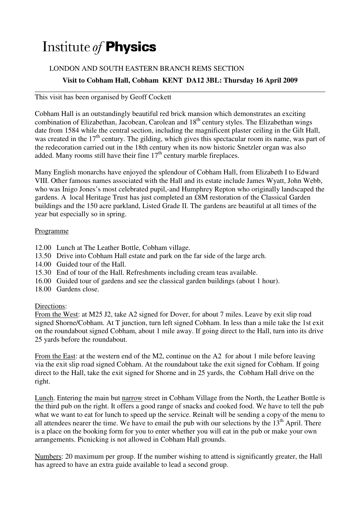# Institute of Physics

## LONDON AND SOUTH EASTERN BRANCH REMS SECTION

### **Visit to Cobham Hall, Cobham KENT DA12 3BL: Thursday 16 April 2009**

**\_\_\_\_\_\_\_\_\_\_\_\_\_\_\_\_\_\_\_\_\_\_\_\_\_\_\_\_\_\_\_\_\_\_\_\_\_\_\_\_\_\_\_\_\_\_\_\_\_\_\_\_\_\_\_\_\_\_\_\_\_\_\_\_\_\_\_\_\_\_\_\_\_\_\_\_\_\_\_\_**  This visit has been organised by Geoff Cockett

Cobham Hall is an outstandingly beautiful red brick mansion which demonstrates an exciting combination of Elizabethan, Jacobean, Carolean and  $18<sup>th</sup>$  century styles. The Elizabethan wings date from 1584 while the central section, including the magnificent plaster ceiling in the Gilt Hall, was created in the 17<sup>th</sup> century. The gilding, which gives this spectacular room its name, was part of the redecoration carried out in the 18th century when its now historic Snetzler organ was also added. Many rooms still have their fine  $17<sup>th</sup>$  century marble fireplaces.

Many English monarchs have enjoyed the splendour of Cobham Hall, from Elizabeth I to Edward VIII. Other famous names associated with the Hall and its estate include James Wyatt, John Webb, who was Inigo Jones's most celebrated pupil,-and Humphrey Repton who originally landscaped the gardens. A local Heritage Trust has just completed an £8M restoration of the Classical Garden buildings and the 150 acre parkland, Listed Grade ΙΙ. The gardens are beautiful at all times of the year but especially so in spring.

#### Programme

- 12.00 Lunch at The Leather Bottle, Cobham village.
- 13.50 Drive into Cobham Hall estate and park on the far side of the large arch.
- 14.00 Guided tour of the Hall.
- 15.30 End of tour of the Hall. Refreshments including cream teas available.
- 16.00 Guided tour of gardens and see the classical garden buildings (about 1 hour).
- 18.00 Gardens close.

#### Directions:

From the West: at M25 J2, take A2 signed for Dover, for about 7 miles. Leave by exit slip road signed Shorne/Cobham. At T junction, turn left signed Cobham. In less than a mile take the 1st exit on the roundabout signed Cobham, about 1 mile away. If going direct to the Hall, turn into its drive 25 yards before the roundabout.

From the East: at the western end of the M2, continue on the A2 for about 1 mile before leaving via the exit slip road signed Cobham. At the roundabout take the exit signed for Cobham. If going direct to the Hall, take the exit signed for Shorne and in 25 yards, the Cobham Hall drive on the right.

Lunch. Entering the main but narrow street in Cobham Village from the North, the Leather Bottle is the third pub on the right. It offers a good range of snacks and cooked food. We have to tell the pub what we want to eat for lunch to speed up the service. Reinalt will be sending a copy of the menu to all attendees nearer the time. We have to email the pub with our selections by the  $13<sup>th</sup>$  April. There is a place on the booking form for you to enter whether you will eat in the pub or make your own arrangements. Picnicking is not allowed in Cobham Hall grounds.

Numbers: 20 maximum per group. If the number wishing to attend is significantly greater, the Hall has agreed to have an extra guide available to lead a second group.